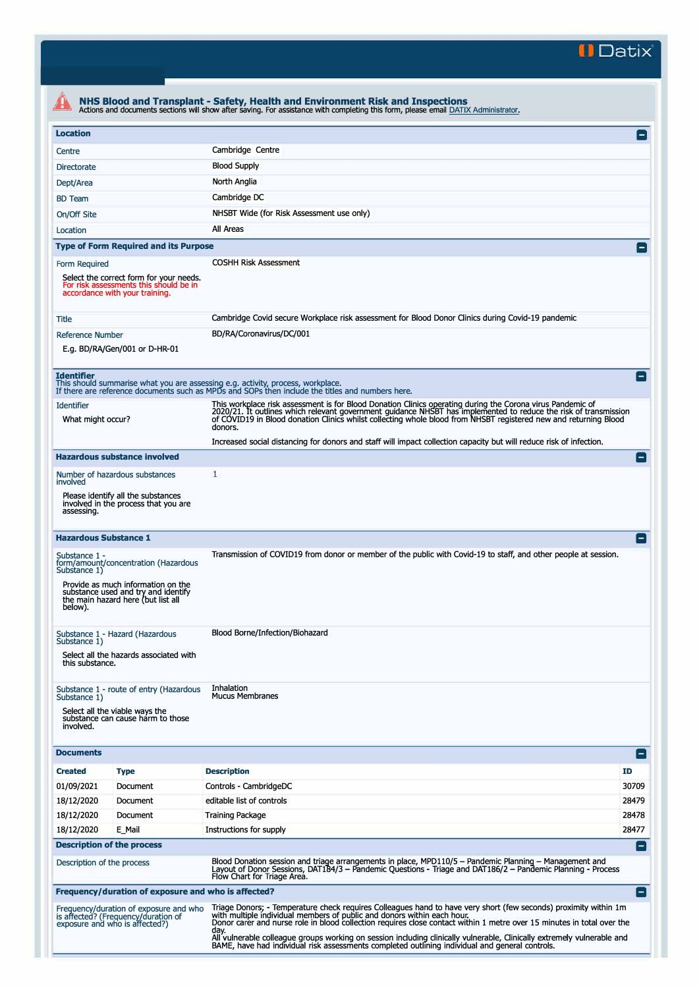**II Datix"** 

| <b>Location</b>                                                                    |                                                                                                                     |                                                                                                                                                                                                                                                                                                                                                                                                                                                          | $\vert - \vert$ |  |  |  |  |
|------------------------------------------------------------------------------------|---------------------------------------------------------------------------------------------------------------------|----------------------------------------------------------------------------------------------------------------------------------------------------------------------------------------------------------------------------------------------------------------------------------------------------------------------------------------------------------------------------------------------------------------------------------------------------------|-----------------|--|--|--|--|
| Centre                                                                             |                                                                                                                     | Cambridge Centre                                                                                                                                                                                                                                                                                                                                                                                                                                         |                 |  |  |  |  |
|                                                                                    |                                                                                                                     | <b>Blood Supply</b>                                                                                                                                                                                                                                                                                                                                                                                                                                      |                 |  |  |  |  |
| Directorate                                                                        |                                                                                                                     | North Anglia                                                                                                                                                                                                                                                                                                                                                                                                                                             |                 |  |  |  |  |
| Dept/Area                                                                          |                                                                                                                     | Cambridge DC                                                                                                                                                                                                                                                                                                                                                                                                                                             |                 |  |  |  |  |
| <b>BD</b> Team                                                                     |                                                                                                                     | NHSBT Wide (for Risk Assessment use only)                                                                                                                                                                                                                                                                                                                                                                                                                |                 |  |  |  |  |
| On/Off Site                                                                        |                                                                                                                     |                                                                                                                                                                                                                                                                                                                                                                                                                                                          |                 |  |  |  |  |
| Location                                                                           |                                                                                                                     | All Areas                                                                                                                                                                                                                                                                                                                                                                                                                                                |                 |  |  |  |  |
|                                                                                    | <b>Type of Form Required and its Purpose</b>                                                                        |                                                                                                                                                                                                                                                                                                                                                                                                                                                          | $\vert - \vert$ |  |  |  |  |
| Form Required                                                                      | Select the correct form for your needs.<br>For risk assessments this should be in<br>accordance with your training. | <b>COSHH Risk Assessment</b>                                                                                                                                                                                                                                                                                                                                                                                                                             |                 |  |  |  |  |
| <b>Title</b>                                                                       |                                                                                                                     | Cambridge Covid secure Workplace risk assessment for Blood Donor Clinics during Covid-19 pandemic                                                                                                                                                                                                                                                                                                                                                        |                 |  |  |  |  |
| <b>Reference Number</b>                                                            |                                                                                                                     | BD/RA/Coronavirus/DC/001                                                                                                                                                                                                                                                                                                                                                                                                                                 |                 |  |  |  |  |
|                                                                                    | E.g. BD/RA/Gen/001 or D-HR-01                                                                                       |                                                                                                                                                                                                                                                                                                                                                                                                                                                          |                 |  |  |  |  |
| <b>Identifier</b>                                                                  |                                                                                                                     | This should summarise what you are assessing e.g. activity, process, workplace.<br>If there are reference documents such as MPDs and SOPs then include the titles and numbers here.                                                                                                                                                                                                                                                                      | $\blacksquare$  |  |  |  |  |
| <b>Identifier</b>                                                                  |                                                                                                                     |                                                                                                                                                                                                                                                                                                                                                                                                                                                          |                 |  |  |  |  |
| What might occur?                                                                  |                                                                                                                     | This workplace risk assessment is for Blood Donation Clinics operating during the Corona virus Pandemic of<br>2020/21. It outlines which relevant government guidance NHSBT has implemented to reduce the risk of transmission<br>of COVID19 in Blood donation Clinics whilst collecting whole blood from NHSBT registered new and returning Blood<br>donors.                                                                                            |                 |  |  |  |  |
|                                                                                    |                                                                                                                     | Increased social distancing for donors and staff will impact collection capacity but will reduce risk of infection.                                                                                                                                                                                                                                                                                                                                      |                 |  |  |  |  |
|                                                                                    | <b>Hazardous substance involved</b>                                                                                 |                                                                                                                                                                                                                                                                                                                                                                                                                                                          | н.              |  |  |  |  |
| Number of hazardous substances<br>involved                                         |                                                                                                                     | 1                                                                                                                                                                                                                                                                                                                                                                                                                                                        |                 |  |  |  |  |
| assessing.                                                                         | Please identify all the substances<br>involved in the process that you are                                          |                                                                                                                                                                                                                                                                                                                                                                                                                                                          |                 |  |  |  |  |
| <b>Hazardous Substance 1</b>                                                       |                                                                                                                     |                                                                                                                                                                                                                                                                                                                                                                                                                                                          |                 |  |  |  |  |
| Substance 1 -<br>Substance 1)                                                      | form/amount/concentration (Hazardous<br>Provide as much information on the<br>substance used and try and identify   | Transmission of COVID19 from donor or member of the public with Covid-19 to staff, and other people at session.                                                                                                                                                                                                                                                                                                                                          |                 |  |  |  |  |
| below).                                                                            | the main hazard here (but list all                                                                                  |                                                                                                                                                                                                                                                                                                                                                                                                                                                          |                 |  |  |  |  |
| Substance 1)<br>this substance.                                                    | Substance 1 - Hazard (Hazardous<br>Select all the hazards associated with                                           | Blood Borne/Infection/Biohazard                                                                                                                                                                                                                                                                                                                                                                                                                          |                 |  |  |  |  |
| Substance 1)<br>involved.                                                          | Substance 1 - route of entry (Hazardous<br>Select all the viable ways the<br>substance can cause harm to those      | Inhalation<br><b>Mucus Membranes</b>                                                                                                                                                                                                                                                                                                                                                                                                                     |                 |  |  |  |  |
| <b>Documents</b>                                                                   |                                                                                                                     |                                                                                                                                                                                                                                                                                                                                                                                                                                                          | $\mathsf{I}$    |  |  |  |  |
| <b>Created</b>                                                                     | <b>Type</b>                                                                                                         | <b>Description</b>                                                                                                                                                                                                                                                                                                                                                                                                                                       | ID              |  |  |  |  |
|                                                                                    | Document                                                                                                            | Controls - CambridgeDC                                                                                                                                                                                                                                                                                                                                                                                                                                   | 30709           |  |  |  |  |
|                                                                                    | Document                                                                                                            | editable list of controls                                                                                                                                                                                                                                                                                                                                                                                                                                | 28479           |  |  |  |  |
|                                                                                    |                                                                                                                     | <b>Training Package</b>                                                                                                                                                                                                                                                                                                                                                                                                                                  |                 |  |  |  |  |
|                                                                                    | Document                                                                                                            |                                                                                                                                                                                                                                                                                                                                                                                                                                                          | 28478           |  |  |  |  |
|                                                                                    | E_Mail                                                                                                              | Instructions for supply                                                                                                                                                                                                                                                                                                                                                                                                                                  | 28477           |  |  |  |  |
|                                                                                    | <b>Description of the process</b>                                                                                   |                                                                                                                                                                                                                                                                                                                                                                                                                                                          | $\blacksquare$  |  |  |  |  |
|                                                                                    |                                                                                                                     | Blood Donation session and triage arrangements in place, MPD110/5 - Pandemic Planning - Management and<br>Layout of Donor Sessions, DAT184/3 – Pandemic Questions - Triage and DAT186/2 – Pandemic Planning - Process<br>Flow Chart for Triage Area.                                                                                                                                                                                                     |                 |  |  |  |  |
| 01/09/2021<br>18/12/2020<br>18/12/2020<br>18/12/2020<br>Description of the process | Frequency/duration of exposure and who is affected?                                                                 |                                                                                                                                                                                                                                                                                                                                                                                                                                                          | $\blacksquare$  |  |  |  |  |
|                                                                                    | Frequency/duration of exposure and who<br>is affected? (Frequency/duration of<br>exposure and who is affected?)     | Triage Donors; - Temperature check requires Colleagues hand to have very short (few seconds) proximity within 1m<br>with multiple individual members of public and donors within each hour.<br>Donor carer and nurse role in blood collection requires close contact within 1 metre over 15 minutes in total over the<br>day.<br>All vulnerable colleague groups working on session including clinically vulnerable, Clinically extremely vulnerable and |                 |  |  |  |  |